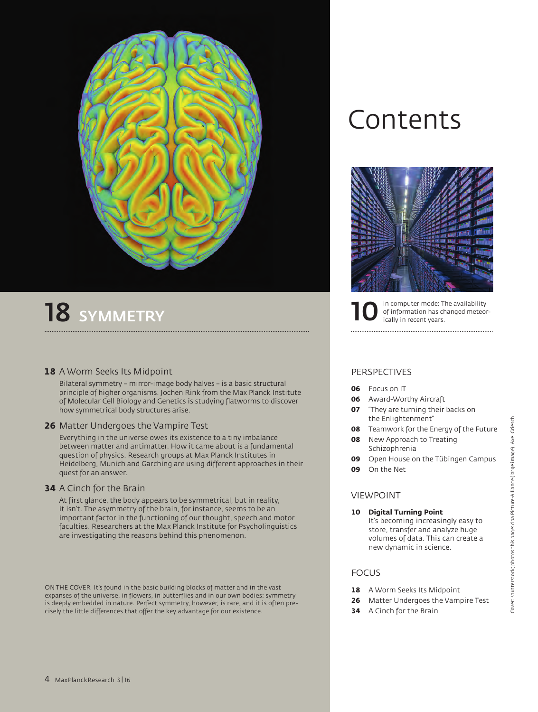

# 18 SYMMETRY

## **18** A Worm Seeks Its Midpoint

 Bilateral symmetry – mirror-image body halves – is a basic structural principle of higher organisms. Jochen Rink from the Max Planck Institute of Molecular Cell Biology and Genetics is studying flatworms to discover how symmetrical body structures arise.

## **26** Matter Undergoes the Vampire Test

 Everything in the universe owes its existence to a tiny imbalance between matter and antimatter. How it came about is a fundamental question of physics. Research groups at Max Planck Institutes in Heidelberg, Munich and Garching are using different approaches in their quest for an answer.

## **34** A Cinch for the Brain

 At first glance, the body appears to be symmetrical, but in reality, it isn't. The asymmetry of the brain, for instance, seems to be an important factor in the functioning of our thought, speech and motor faculties. Researchers at the Max Planck Institute for Psycholinguistics are investigating the reasons behind this phenomenon.

ON THE COVER It's found in the basic building blocks of matter and in the vast expanses of the universe, in flowers, in butterflies and in our own bodies: symmetry is deeply embedded in nature. Perfect symmetry, however, is rare, and it is often precisely the little differences that offer the key advantage for our existence.

# Contents



In computer mode: The availability of information has changed meteor-<br>ically in recent years.

# PERSPECTIVES

- **06** Focus on IT
- **06** Award-Worthy Aircraft
- **07** "They are turning their backs on the Enlightenment"
- **08** Teamwork for the Energy of the Future
- **08** New Approach to Treating Schizophrenia
- **09** Open House on the Tübingen Campus
- **09** On the Net

## VIEWPOINT

**10 Digital Turning Point** It's becoming increasingly easy to store, transfer and analyze huge volumes of data. This can create a new dynamic in science.

# FOCUS

- 18 A Worm Seeks Its Midpoint
- **26** Matter Undergoes the Vampire Test
- **34** A Cinch for the Brain